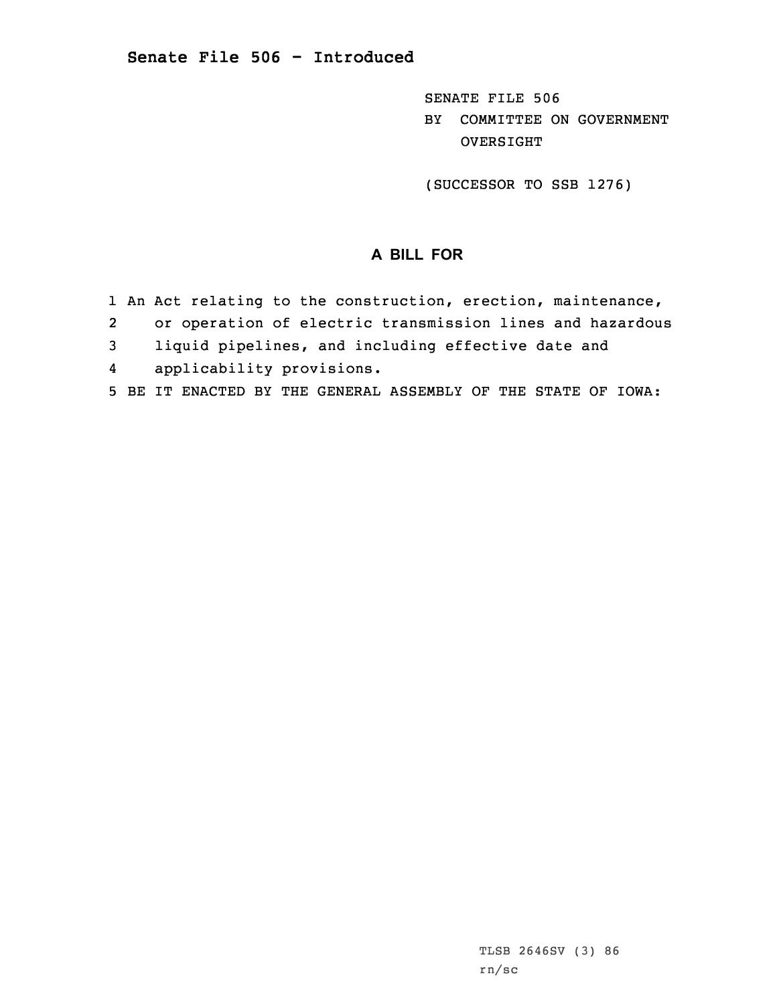SENATE FILE 506 BY COMMITTEE ON GOVERNMENT OVERSIGHT

(SUCCESSOR TO SSB 1276)

## **A BILL FOR**

- 1 An Act relating to the construction, erection, maintenance,
- 2or operation of electric transmission lines and hazardous
- 3 liquid pipelines, and including effective date and
- 4applicability provisions.
- 5 BE IT ENACTED BY THE GENERAL ASSEMBLY OF THE STATE OF IOWA: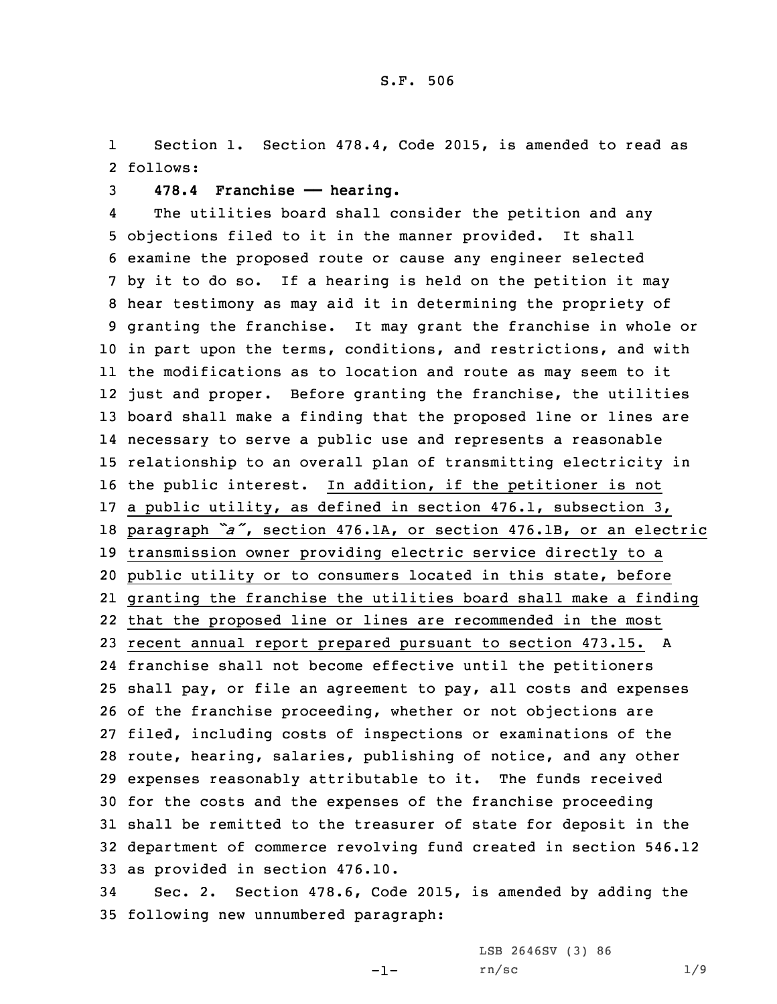1 Section 1. Section 478.4, Code 2015, is amended to read as 2 follows:

3 **478.4 Franchise —— hearing.**

4 The utilities board shall consider the petition and any objections filed to it in the manner provided. It shall examine the proposed route or cause any engineer selected by it to do so. If <sup>a</sup> hearing is held on the petition it may hear testimony as may aid it in determining the propriety of granting the franchise. It may grant the franchise in whole or in part upon the terms, conditions, and restrictions, and with the modifications as to location and route as may seem to it just and proper. Before granting the franchise, the utilities board shall make <sup>a</sup> finding that the proposed line or lines are necessary to serve <sup>a</sup> public use and represents <sup>a</sup> reasonable relationship to an overall plan of transmitting electricity in the public interest. In addition, if the petitioner is not <sup>a</sup> public utility, as defined in section 476.1, subsection 3, paragraph *"a"*, section 476.1A, or section 476.1B, or an electric transmission owner providing electric service directly to <sup>a</sup> public utility or to consumers located in this state, before granting the franchise the utilities board shall make <sup>a</sup> finding that the proposed line or lines are recommended in the most recent annual report prepared pursuant to section 473.15. <sup>A</sup> franchise shall not become effective until the petitioners shall pay, or file an agreement to pay, all costs and expenses of the franchise proceeding, whether or not objections are filed, including costs of inspections or examinations of the route, hearing, salaries, publishing of notice, and any other expenses reasonably attributable to it. The funds received for the costs and the expenses of the franchise proceeding shall be remitted to the treasurer of state for deposit in the department of commerce revolving fund created in section 546.12 as provided in section 476.10.

34 Sec. 2. Section 478.6, Code 2015, is amended by adding the 35 following new unnumbered paragraph:

 $-1-$ 

LSB 2646SV (3) 86  $rn/sec$  1/9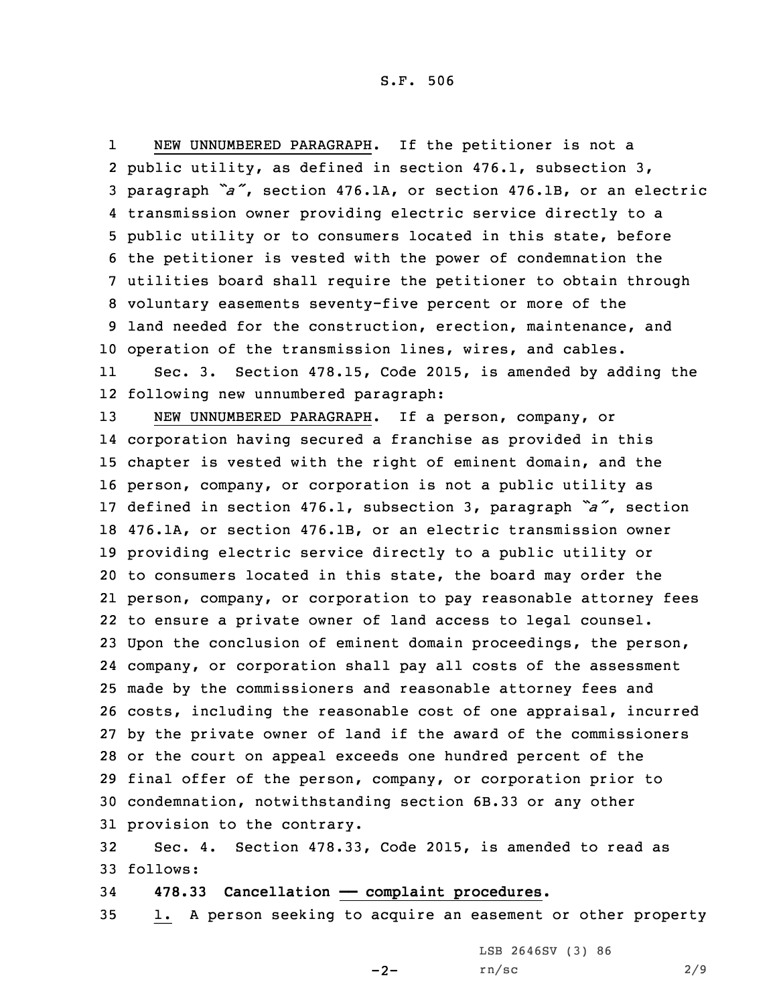1 NEW UNNUMBERED PARAGRAPH. If the petitioner is not <sup>a</sup> public utility, as defined in section 476.1, subsection 3, paragraph *"a"*, section 476.1A, or section 476.1B, or an electric transmission owner providing electric service directly to <sup>a</sup> public utility or to consumers located in this state, before the petitioner is vested with the power of condemnation the utilities board shall require the petitioner to obtain through voluntary easements seventy-five percent or more of the land needed for the construction, erection, maintenance, and operation of the transmission lines, wires, and cables. 11 Sec. 3. Section 478.15, Code 2015, is amended by adding the following new unnumbered paragraph: NEW UNNUMBERED PARAGRAPH. If <sup>a</sup> person, company, or corporation having secured <sup>a</sup> franchise as provided in this chapter is vested with the right of eminent domain, and the person, company, or corporation is not <sup>a</sup> public utility as defined in section 476.1, subsection 3, paragraph *"a"*, section

 476.1A, or section 476.1B, or an electric transmission owner providing electric service directly to <sup>a</sup> public utility or to consumers located in this state, the board may order the person, company, or corporation to pay reasonable attorney fees to ensure <sup>a</sup> private owner of land access to legal counsel. Upon the conclusion of eminent domain proceedings, the person, company, or corporation shall pay all costs of the assessment made by the commissioners and reasonable attorney fees and costs, including the reasonable cost of one appraisal, incurred by the private owner of land if the award of the commissioners or the court on appeal exceeds one hundred percent of the final offer of the person, company, or corporation prior to condemnation, notwithstanding section 6B.33 or any other provision to the contrary.

32 Sec. 4. Section 478.33, Code 2015, is amended to read as 33 follows:

34 **478.33 Cancellation —— complaint procedures.**

35 1. <sup>A</sup> person seeking to acquire an easement or other property

LSB 2646SV (3) 86

 $-2-$ 

rn/sc 2/9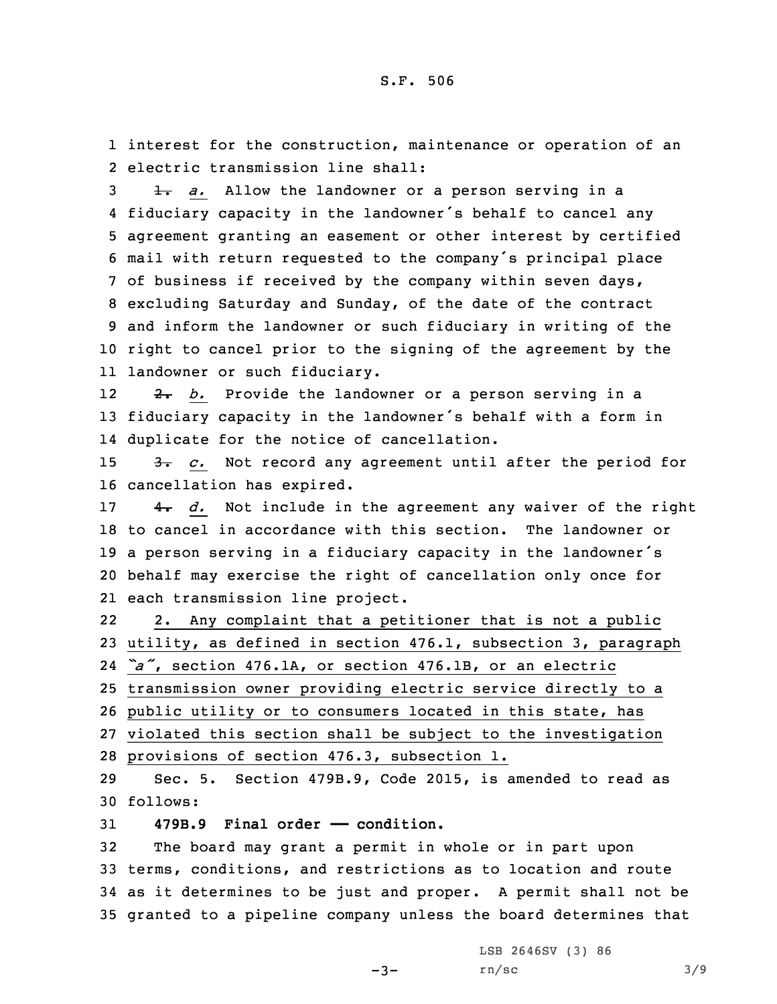1 interest for the construction, maintenance or operation of an 2 electric transmission line shall:

**1.** *a.* Allow the landowner or a person serving in a fiduciary capacity in the landowner's behalf to cancel any agreement granting an easement or other interest by certified mail with return requested to the company's principal place of business if received by the company within seven days, excluding Saturday and Sunday, of the date of the contract and inform the landowner or such fiduciary in writing of the right to cancel prior to the signing of the agreement by the landowner or such fiduciary.

12 2. *b.* Provide the landowner or <sup>a</sup> person serving in <sup>a</sup> <sup>13</sup> fiduciary capacity in the landowner's behalf with <sup>a</sup> form in 14 duplicate for the notice of cancellation.

15 3. *c.* Not record any agreement until after the period for 16 cancellation has expired.

 4. *d.* Not include in the agreement any waiver of the right to cancel in accordance with this section. The landowner or <sup>a</sup> person serving in <sup>a</sup> fiduciary capacity in the landowner's behalf may exercise the right of cancellation only once for each transmission line project.

22 2. Any complaint that <sup>a</sup> petitioner that is not <sup>a</sup> public 23 utility, as defined in section 476.1, subsection 3, paragraph

24 *"a"*, section 476.1A, or section 476.1B, or an electric

25 transmission owner providing electric service directly to <sup>a</sup>

26 public utility or to consumers located in this state, has

27 violated this section shall be subject to the investigation 28 provisions of section 476.3, subsection 1.

29 Sec. 5. Section 479B.9, Code 2015, is amended to read as 30 follows:

31 **479B.9 Final order —— condition.**

 The board may grant <sup>a</sup> permit in whole or in part upon terms, conditions, and restrictions as to location and route as it determines to be just and proper. <sup>A</sup> permit shall not be granted to <sup>a</sup> pipeline company unless the board determines that

LSB 2646SV (3) 86

 $-3-$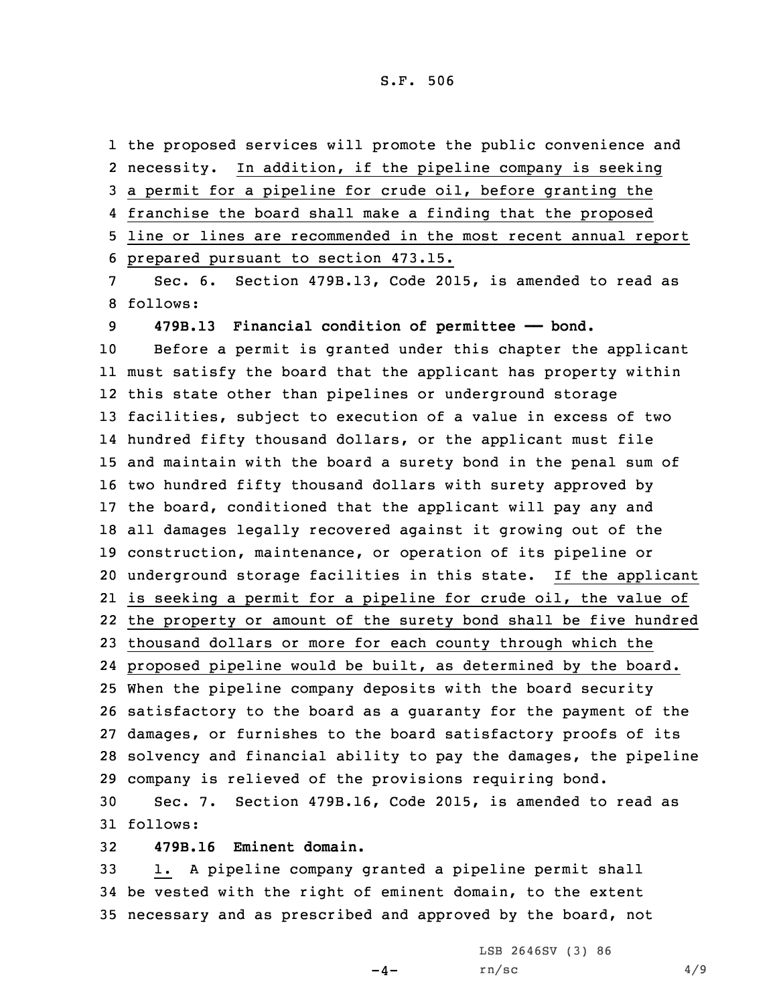the proposed services will promote the public convenience and necessity. In addition, if the pipeline company is seeking <sup>a</sup> permit for <sup>a</sup> pipeline for crude oil, before granting the franchise the board shall make <sup>a</sup> finding that the proposed line or lines are recommended in the most recent annual report prepared pursuant to section 473.15. Sec. 6. Section 479B.13, Code 2015, is amended to read as 8 follows: **479B.13 Financial condition of permittee —— bond.** Before <sup>a</sup> permit is granted under this chapter the applicant must satisfy the board that the applicant has property within this state other than pipelines or underground storage facilities, subject to execution of <sup>a</sup> value in excess of two hundred fifty thousand dollars, or the applicant must file and maintain with the board <sup>a</sup> surety bond in the penal sum of two hundred fifty thousand dollars with surety approved by the board, conditioned that the applicant will pay any and all damages legally recovered against it growing out of the construction, maintenance, or operation of its pipeline or underground storage facilities in this state. If the applicant is seeking <sup>a</sup> permit for <sup>a</sup> pipeline for crude oil, the value of the property or amount of the surety bond shall be five hundred thousand dollars or more for each county through which the proposed pipeline would be built, as determined by the board. When the pipeline company deposits with the board security satisfactory to the board as <sup>a</sup> guaranty for the payment of the damages, or furnishes to the board satisfactory proofs of its solvency and financial ability to pay the damages, the pipeline company is relieved of the provisions requiring bond. Sec. 7. Section 479B.16, Code 2015, is amended to read as 31 follows:

32 **479B.16 Eminent domain.**

33 1. <sup>A</sup> pipeline company granted <sup>a</sup> pipeline permit shall 34 be vested with the right of eminent domain, to the extent 35 necessary and as prescribed and approved by the board, not

LSB 2646SV (3) 86

 $-4-$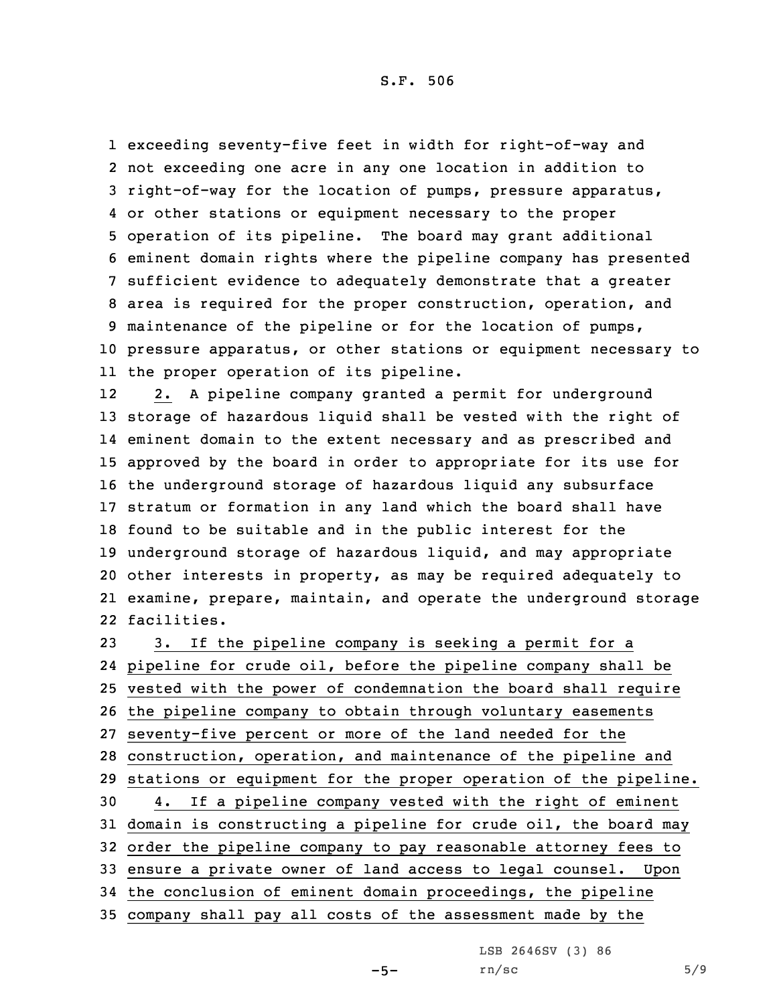exceeding seventy-five feet in width for right-of-way and not exceeding one acre in any one location in addition to right-of-way for the location of pumps, pressure apparatus, or other stations or equipment necessary to the proper operation of its pipeline. The board may grant additional eminent domain rights where the pipeline company has presented sufficient evidence to adequately demonstrate that <sup>a</sup> greater area is required for the proper construction, operation, and maintenance of the pipeline or for the location of pumps, pressure apparatus, or other stations or equipment necessary to the proper operation of its pipeline.

12 2. <sup>A</sup> pipeline company granted <sup>a</sup> permit for underground storage of hazardous liquid shall be vested with the right of eminent domain to the extent necessary and as prescribed and approved by the board in order to appropriate for its use for the underground storage of hazardous liquid any subsurface stratum or formation in any land which the board shall have found to be suitable and in the public interest for the underground storage of hazardous liquid, and may appropriate other interests in property, as may be required adequately to examine, prepare, maintain, and operate the underground storage facilities.

 3. If the pipeline company is seeking <sup>a</sup> permit for <sup>a</sup> pipeline for crude oil, before the pipeline company shall be vested with the power of condemnation the board shall require the pipeline company to obtain through voluntary easements seventy-five percent or more of the land needed for the construction, operation, and maintenance of the pipeline and stations or equipment for the proper operation of the pipeline. 4. If <sup>a</sup> pipeline company vested with the right of eminent domain is constructing <sup>a</sup> pipeline for crude oil, the board may order the pipeline company to pay reasonable attorney fees to ensure <sup>a</sup> private owner of land access to legal counsel. Upon the conclusion of eminent domain proceedings, the pipeline company shall pay all costs of the assessment made by the

LSB 2646SV (3) 86

 $rn/sec$  5/9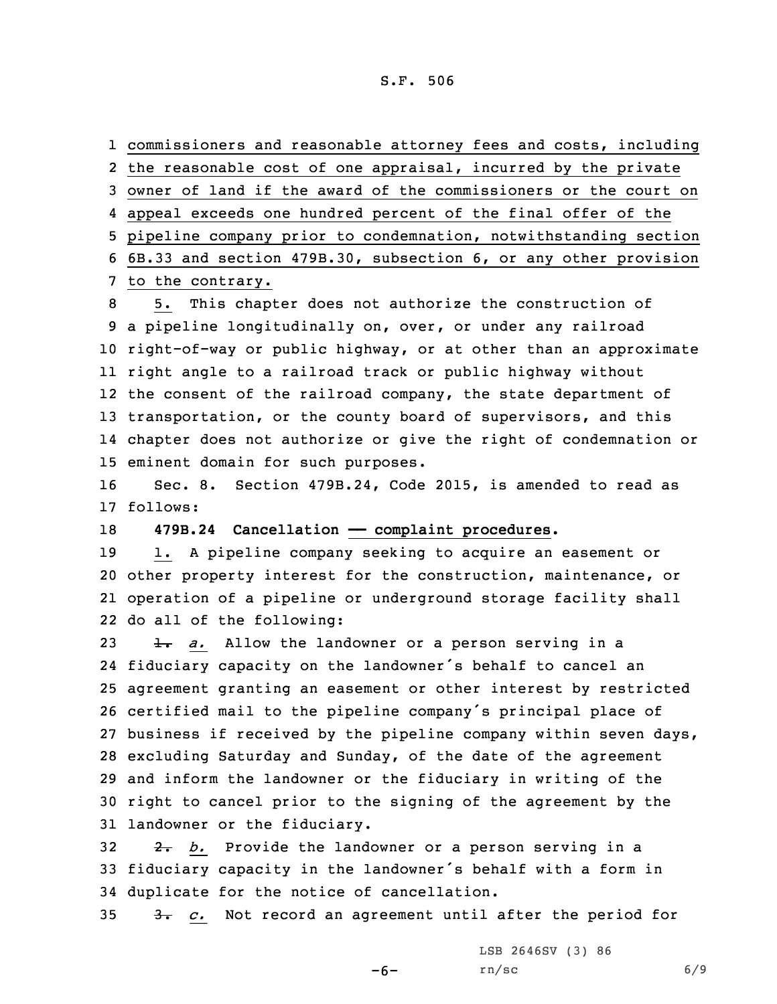## S.F. 506

 commissioners and reasonable attorney fees and costs, including the reasonable cost of one appraisal, incurred by the private owner of land if the award of the commissioners or the court on appeal exceeds one hundred percent of the final offer of the pipeline company prior to condemnation, notwithstanding section 6B.33 and section 479B.30, subsection 6, or any other provision to the contrary.

 5. This chapter does not authorize the construction of <sup>a</sup> pipeline longitudinally on, over, or under any railroad right-of-way or public highway, or at other than an approximate right angle to <sup>a</sup> railroad track or public highway without the consent of the railroad company, the state department of 13 transportation, or the county board of supervisors, and this chapter does not authorize or give the right of condemnation or eminent domain for such purposes.

16 Sec. 8. Section 479B.24, Code 2015, is amended to read as 17 follows:

18 **479B.24 Cancellation — complaint procedures.** 

 1. <sup>A</sup> pipeline company seeking to acquire an easement or other property interest for the construction, maintenance, or operation of <sup>a</sup> pipeline or underground storage facility shall do all of the following:

 1. *a.* Allow the landowner or <sup>a</sup> person serving in <sup>a</sup> fiduciary capacity on the landowner's behalf to cancel an agreement granting an easement or other interest by restricted certified mail to the pipeline company's principal place of business if received by the pipeline company within seven days, excluding Saturday and Sunday, of the date of the agreement and inform the landowner or the fiduciary in writing of the right to cancel prior to the signing of the agreement by the landowner or the fiduciary.

32 2. *b.* Provide the landowner or <sup>a</sup> person serving in <sup>a</sup> <sup>33</sup> fiduciary capacity in the landowner's behalf with <sup>a</sup> form in 34 duplicate for the notice of cancellation.

35 3. *c.* Not record an agreement until after the period for

-6-

LSB 2646SV (3) 86 rn/sc 6/9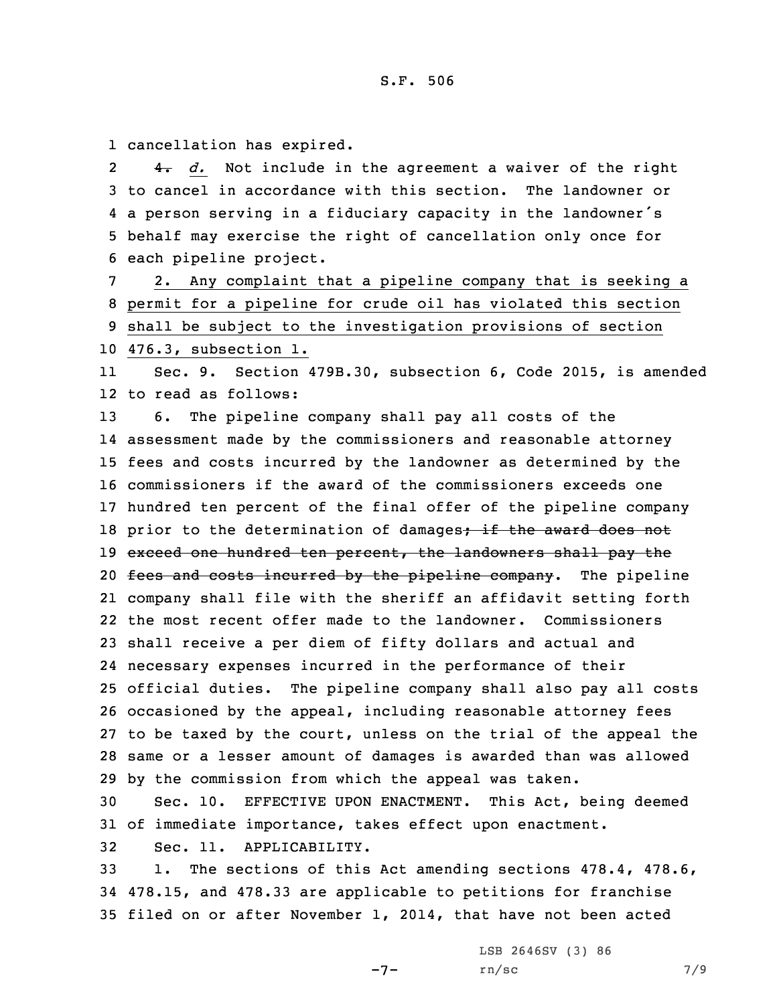1 cancellation has expired.

2 4. *d.* Not include in the agreement <sup>a</sup> waiver of the right to cancel in accordance with this section. The landowner or <sup>a</sup> person serving in <sup>a</sup> fiduciary capacity in the landowner's behalf may exercise the right of cancellation only once for each pipeline project.

 2. Any complaint that <sup>a</sup> pipeline company that is seeking <sup>a</sup> permit for <sup>a</sup> pipeline for crude oil has violated this section shall be subject to the investigation provisions of section 476.3, subsection 1.

11 Sec. 9. Section 479B.30, subsection 6, Code 2015, is amended 12 to read as follows:

 6. The pipeline company shall pay all costs of the assessment made by the commissioners and reasonable attorney fees and costs incurred by the landowner as determined by the commissioners if the award of the commissioners exceeds one hundred ten percent of the final offer of the pipeline company 18 prior to the determination of damages; if the award does not 19 exceed one hundred ten percent, the landowners shall pay the 20 fees and costs incurred by the pipeline company. The pipeline company shall file with the sheriff an affidavit setting forth the most recent offer made to the landowner. Commissioners shall receive <sup>a</sup> per diem of fifty dollars and actual and necessary expenses incurred in the performance of their official duties. The pipeline company shall also pay all costs occasioned by the appeal, including reasonable attorney fees to be taxed by the court, unless on the trial of the appeal the same or <sup>a</sup> lesser amount of damages is awarded than was allowed by the commission from which the appeal was taken.

30 Sec. 10. EFFECTIVE UPON ENACTMENT. This Act, being deemed 31 of immediate importance, takes effect upon enactment.

32 Sec. 11. APPLICABILITY.

33 1. The sections of this Act amending sections 478.4, 478.6, 34 478.15, and 478.33 are applicable to petitions for franchise 35 filed on or after November 1, 2014, that have not been acted

LSB 2646SV (3) 86

 $-7-$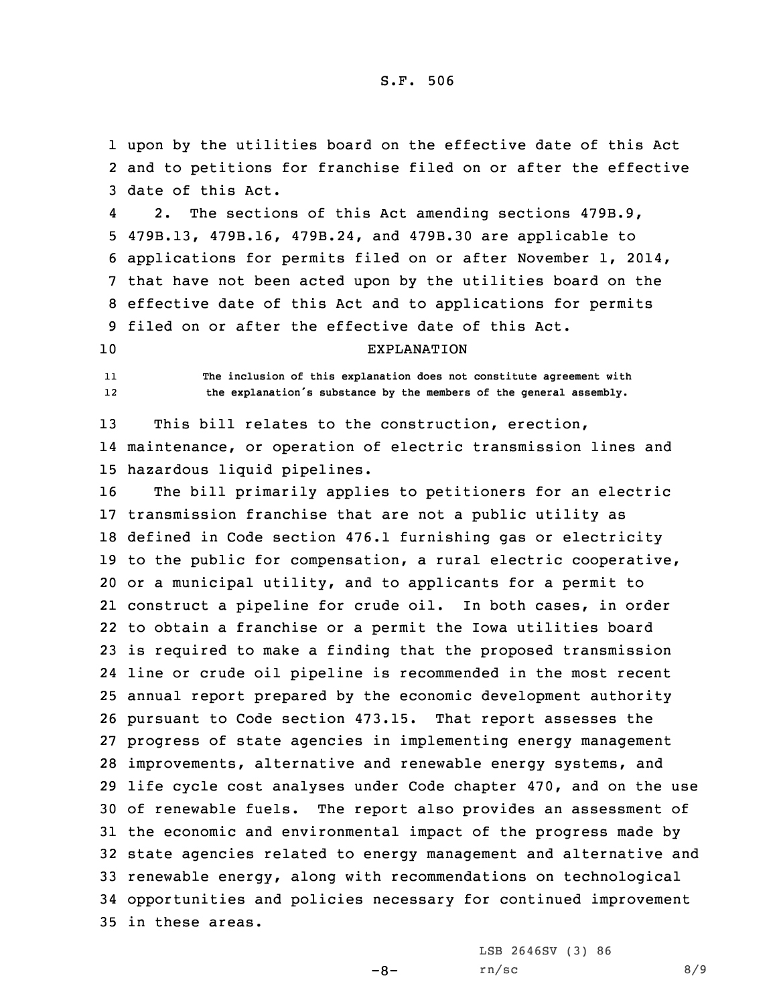1 upon by the utilities board on the effective date of this Act 2 and to petitions for franchise filed on or after the effective 3 date of this Act.

4 2. The sections of this Act amending sections 479B.9, 479B.13, 479B.16, 479B.24, and 479B.30 are applicable to applications for permits filed on or after November 1, 2014, that have not been acted upon by the utilities board on the effective date of this Act and to applications for permits filed on or after the effective date of this Act.

## 10 EXPLANATION

11 **The inclusion of this explanation does not constitute agreement with** 12**the explanation's substance by the members of the general assembly.**

13 This bill relates to the construction, erection, 14 maintenance, or operation of electric transmission lines and 15 hazardous liquid pipelines.

 The bill primarily applies to petitioners for an electric transmission franchise that are not <sup>a</sup> public utility as defined in Code section 476.1 furnishing gas or electricity to the public for compensation, <sup>a</sup> rural electric cooperative, or <sup>a</sup> municipal utility, and to applicants for <sup>a</sup> permit to construct <sup>a</sup> pipeline for crude oil. In both cases, in order to obtain <sup>a</sup> franchise or <sup>a</sup> permit the Iowa utilities board is required to make <sup>a</sup> finding that the proposed transmission line or crude oil pipeline is recommended in the most recent annual report prepared by the economic development authority pursuant to Code section 473.15. That report assesses the progress of state agencies in implementing energy management improvements, alternative and renewable energy systems, and life cycle cost analyses under Code chapter 470, and on the use of renewable fuels. The report also provides an assessment of the economic and environmental impact of the progress made by state agencies related to energy management and alternative and renewable energy, along with recommendations on technological opportunities and policies necessary for continued improvement in these areas.

LSB 2646SV (3) 86

 $-8-$ 

 $rn/sec$  8/9